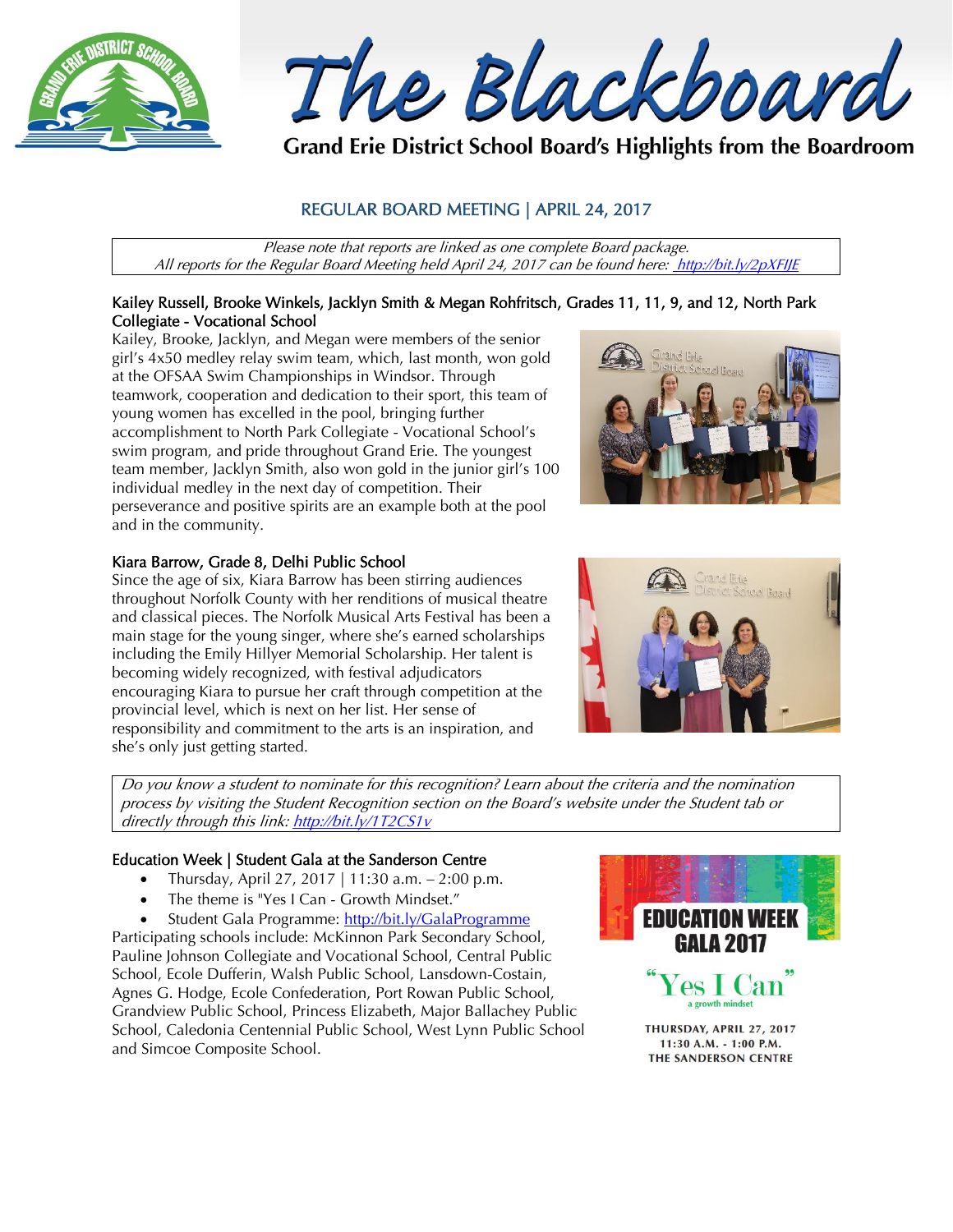

The Blackboard

Grand Erie District School Board's Highlights from the Boardroom

# REGULAR BOARD MEETING | APRIL 24, 2017

Please note that reports are linked as one complete Board package. All reports for the Regular Board Meeting held April 24, 2017 can be found here: <http://bit.ly/2pXFIJE>

#### Kailey Russell, Brooke Winkels, Jacklyn Smith & Megan Rohfritsch, Grades 11, 11, 9, and 12, North Park Collegiate - Vocational School

Kailey, Brooke, Jacklyn, and Megan were members of the senior girl's 4x50 medley relay swim team, which, last month, won gold at the OFSAA Swim Championships in Windsor. Through teamwork, cooperation and dedication to their sport, this team of young women has excelled in the pool, bringing further accomplishment to North Park Collegiate - Vocational School's swim program, and pride throughout Grand Erie. The youngest team member, Jacklyn Smith, also won gold in the junior girl's 100 individual medley in the next day of competition. Their perseverance and positive spirits are an example both at the pool and in the community.



# Kiara Barrow, Grade 8, Delhi Public School

Since the age of six, Kiara Barrow has been stirring audiences throughout Norfolk County with her renditions of musical theatre and classical pieces. The Norfolk Musical Arts Festival has been a main stage for the young singer, where she's earned scholarships including the Emily Hillyer Memorial Scholarship. Her talent is becoming widely recognized, with festival adjudicators encouraging Kiara to pursue her craft through competition at the provincial level, which is next on her list. Her sense of responsibility and commitment to the arts is an inspiration, and she's only just getting started.



Do you know a student to nominate for this recognition? Learn about the criteria and the nomination process by visiting the Student Recognition section on the Board's website under the Student tab or directly through this link[: http://bit.ly/1T2CS1v](http://bit.ly/1T2CS1v)

#### Education Week | Student Gala at the Sanderson Centre

- Thursday, April 27, 2017 | 11:30 a.m.  $2:00$  p.m.
- The theme is "Yes I Can Growth Mindset."
- Student Gala Programme:<http://bit.ly/GalaProgramme>

Participating schools include: McKinnon Park Secondary School, Pauline Johnson Collegiate and Vocational School, Central Public School, Ecole Dufferin, Walsh Public School, Lansdown-Costain, Agnes G. Hodge, Ecole Confederation, Port Rowan Public School, Grandview Public School, Princess Elizabeth, Major Ballachey Public School, Caledonia Centennial Public School, West Lynn Public School and Simcoe Composite School.



11:30 A.M. - 1:00 P.M. THE SANDERSON CENTRE